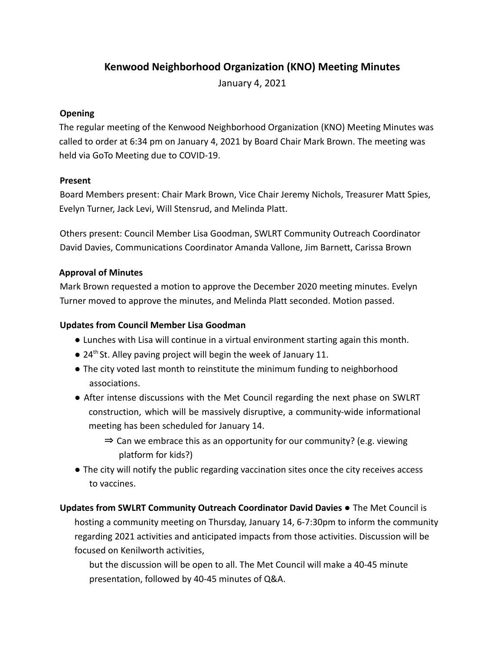# **Kenwood Neighborhood Organization (KNO) Meeting Minutes**

January 4, 2021

#### **Opening**

The regular meeting of the Kenwood Neighborhood Organization (KNO) Meeting Minutes was called to order at 6:34 pm on January 4, 2021 by Board Chair Mark Brown. The meeting was held via GoTo Meeting due to COVID-19.

#### **Present**

Board Members present: Chair Mark Brown, Vice Chair Jeremy Nichols, Treasurer Matt Spies, Evelyn Turner, Jack Levi, Will Stensrud, and Melinda Platt.

Others present: Council Member Lisa Goodman, SWLRT Community Outreach Coordinator David Davies, Communications Coordinator Amanda Vallone, Jim Barnett, Carissa Brown

#### **Approval of Minutes**

Mark Brown requested a motion to approve the December 2020 meeting minutes. Evelyn Turner moved to approve the minutes, and Melinda Platt seconded. Motion passed.

#### **Updates from Council Member Lisa Goodman**

- **●** Lunches with Lisa will continue in a virtual environment starting again this month.
- 24<sup>th</sup> St. Alley paving project will begin the week of January 11.
- **●** The city voted last month to reinstitute the minimum funding to neighborhood associations.
- After intense discussions with the Met Council regarding the next phase on SWLRT construction, which will be massively disruptive, a community-wide informational meeting has been scheduled for January 14.
	- ⇒ Can we embrace this as an opportunity for our community? (e.g. viewing platform for kids?)
- The city will notify the public regarding vaccination sites once the city receives access to vaccines.

# **Updates from SWLRT Community Outreach Coordinator David Davies ●** The Met Council is hosting a community meeting on Thursday, January 14, 6-7:30pm to inform the community regarding 2021 activities and anticipated impacts from those activities. Discussion will be focused on Kenilworth activities,

but the discussion will be open to all. The Met Council will make a 40-45 minute presentation, followed by 40-45 minutes of Q&A.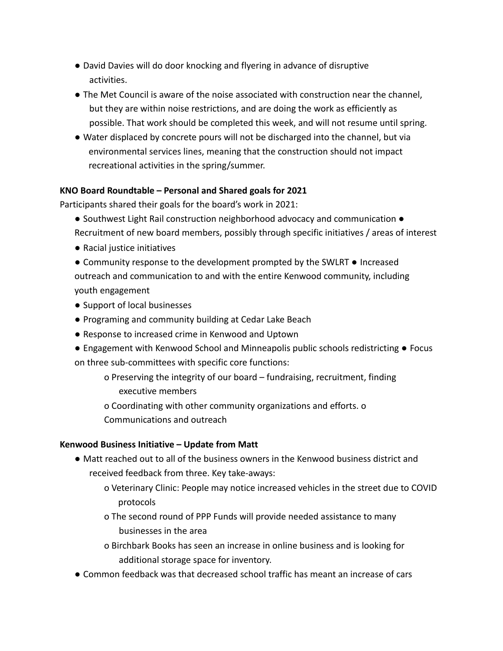- David Davies will do door knocking and flyering in advance of disruptive activities.
- The Met Council is aware of the noise associated with construction near the channel, but they are within noise restrictions, and are doing the work as efficiently as possible. That work should be completed this week, and will not resume until spring.
- **●** Water displaced by concrete pours will not be discharged into the channel, but via environmental services lines, meaning that the construction should not impact recreational activities in the spring/summer.

#### **KNO Board Roundtable – Personal and Shared goals for 2021**

Participants shared their goals for the board's work in 2021:

- Southwest Light Rail construction neighborhood advocacy and communication Recruitment of new board members, possibly through specific initiatives / areas of interest
- Racial justice initiatives
- Community response to the development prompted by the SWLRT Increased outreach and communication to and with the entire Kenwood community, including youth engagement
- Support of local businesses
- Programing and community building at Cedar Lake Beach
- Response to increased crime in Kenwood and Uptown
- Engagement with Kenwood School and Minneapolis public schools redistricting Focus on three sub-committees with specific core functions:
	- o Preserving the integrity of our board fundraising, recruitment, finding executive members
	- o Coordinating with other community organizations and efforts. o Communications and outreach

#### **Kenwood Business Initiative – Update from Matt**

- Matt reached out to all of the business owners in the Kenwood business district and received feedback from three. Key take-aways:
	- o Veterinary Clinic: People may notice increased vehicles in the street due to COVID protocols
	- o The second round of PPP Funds will provide needed assistance to many businesses in the area
	- o Birchbark Books has seen an increase in online business and is looking for additional storage space for inventory.
- Common feedback was that decreased school traffic has meant an increase of cars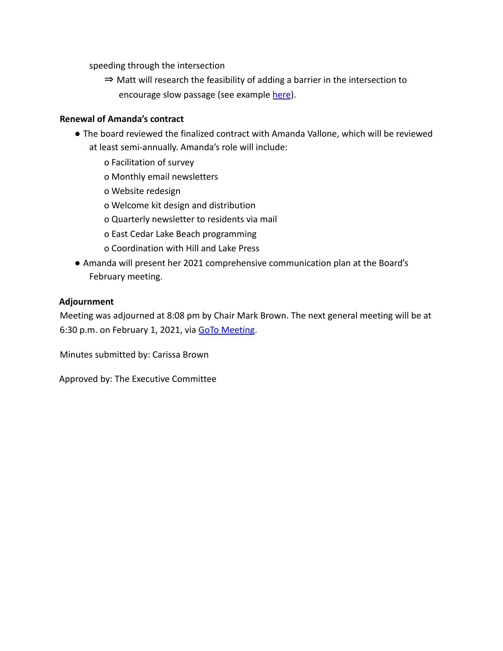speeding through the intersection

⇒ Matt will research the feasibility of adding a barrier in the intersection to encourage slow passage (see example here).

#### **Renewal of Amanda's contract**

- The board reviewed the finalized contract with Amanda Vallone, which will be reviewed at least semi-annually. Amanda's role will include:
	- o Facilitation of survey
	- o Monthly email newsletters
	- o Website redesign
	- o Welcome kit design and distribution
	- o Quarterly newsletter to residents via mail
	- o East Cedar Lake Beach programming
	- o Coordination with Hill and Lake Press
- Amanda will present her 2021 comprehensive communication plan at the Board's February meeting.

#### **Adjournment**

Meeting was adjourned at 8:08 pm by Chair Mark Brown. The next general meeting will be at 6:30 p.m. on February 1, 2021, via GoTo Meeting.

Minutes submitted by: Carissa Brown

Approved by: The Executive Committee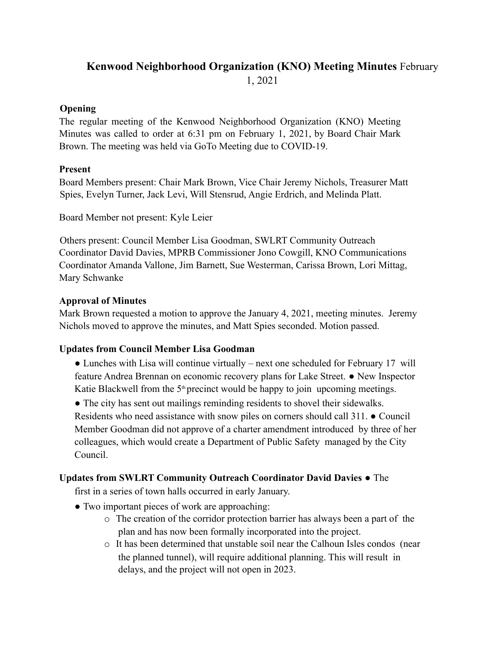# **Kenwood Neighborhood Organization (KNO) Meeting Minutes** February 1, 2021

### **Opening**

The regular meeting of the Kenwood Neighborhood Organization (KNO) Meeting Minutes was called to order at 6:31 pm on February 1, 2021, by Board Chair Mark Brown. The meeting was held via GoTo Meeting due to COVID-19.

### **Present**

Board Members present: Chair Mark Brown, Vice Chair Jeremy Nichols, Treasurer Matt Spies, Evelyn Turner, Jack Levi, Will Stensrud, Angie Erdrich, and Melinda Platt.

Board Member not present: Kyle Leier

Others present: Council Member Lisa Goodman, SWLRT Community Outreach Coordinator David Davies, MPRB Commissioner Jono Cowgill, KNO Communications Coordinator Amanda Vallone, Jim Barnett, Sue Westerman, Carissa Brown, Lori Mittag, Mary Schwanke

### **Approval of Minutes**

Mark Brown requested a motion to approve the January 4, 2021, meeting minutes. Jeremy Nichols moved to approve the minutes, and Matt Spies seconded. Motion passed.

## **Updates from Council Member Lisa Goodman**

• Lunches with Lisa will continue virtually – next one scheduled for February 17 will feature Andrea Brennan on economic recovery plans for Lake Street. ● New Inspector Katie Blackwell from the  $5<sup>th</sup>$  precinct would be happy to join upcoming meetings.

• The city has sent out mailings reminding residents to shovel their sidewalks. Residents who need assistance with snow piles on corners should call 311. ● Council Member Goodman did not approve of a charter amendment introduced by three of her colleagues, which would create a Department of Public Safety managed by the City Council.

## **Updates from SWLRT Community Outreach Coordinator David Davies** ● The

first in a series of town halls occurred in early January.

- Two important pieces of work are approaching:
	- o The creation of the corridor protection barrier has always been a part of the plan and has now been formally incorporated into the project.
	- o It has been determined that unstable soil near the Calhoun Isles condos (near the planned tunnel), will require additional planning. This will result in delays, and the project will not open in 2023.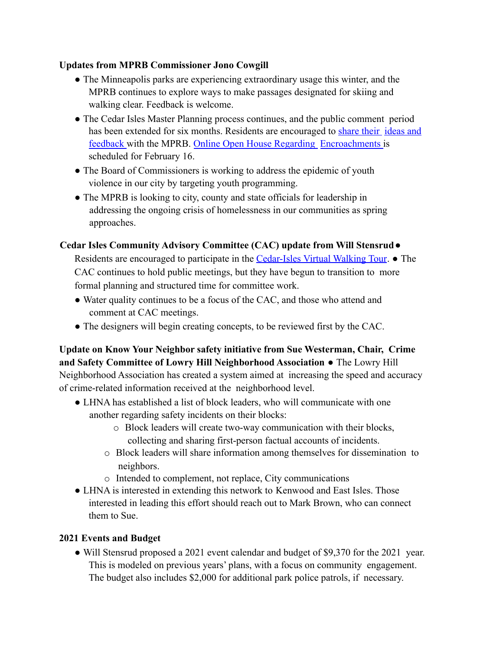### **Updates from MPRB Commissioner Jono Cowgill**

- The Minneapolis parks are experiencing extraordinary usage this winter, and the MPRB continues to explore ways to make passages designated for skiing and walking clear. Feedback is welcome.
- The Cedar Isles Master Planning process continues, and the public comment period has been extended for six months. Residents are encouraged to share their ideas and feedback with the MPRB. Online Open House Regarding Encroachments is scheduled for February 16.
- The Board of Commissioners is working to address the epidemic of youth violence in our city by targeting youth programming.
- The MPRB is looking to city, county and state officials for leadership in addressing the ongoing crisis of homelessness in our communities as spring approaches.

## **Cedar Isles Community Advisory Committee (CAC) update from Will Stensrud**●

Residents are encouraged to participate in the Cedar-Isles Virtual Walking Tour. • The CAC continues to hold public meetings, but they have begun to transition to more formal planning and structured time for committee work.

- Water quality continues to be a focus of the CAC, and those who attend and comment at CAC meetings.
- The designers will begin creating concepts, to be reviewed first by the CAC.

**Update on Know Your Neighbor safety initiative from Sue Westerman, Chair, Crime and Safety Committee of Lowry Hill Neighborhood Association** ● The Lowry Hill Neighborhood Association has created a system aimed at increasing the speed and accuracy of crime-related information received at the neighborhood level.

- LHNA has established a list of block leaders, who will communicate with one another regarding safety incidents on their blocks:
	- o Block leaders will create two-way communication with their blocks, collecting and sharing first-person factual accounts of incidents.
	- o Block leaders will share information among themselves for dissemination to neighbors.
	- o Intended to complement, not replace, City communications
- LHNA is interested in extending this network to Kenwood and East Isles. Those interested in leading this effort should reach out to Mark Brown, who can connect them to Sue.

## **2021 Events and Budget**

• Will Stensrud proposed a 2021 event calendar and budget of \$9,370 for the 2021 year. This is modeled on previous years' plans, with a focus on community engagement. The budget also includes \$2,000 for additional park police patrols, if necessary.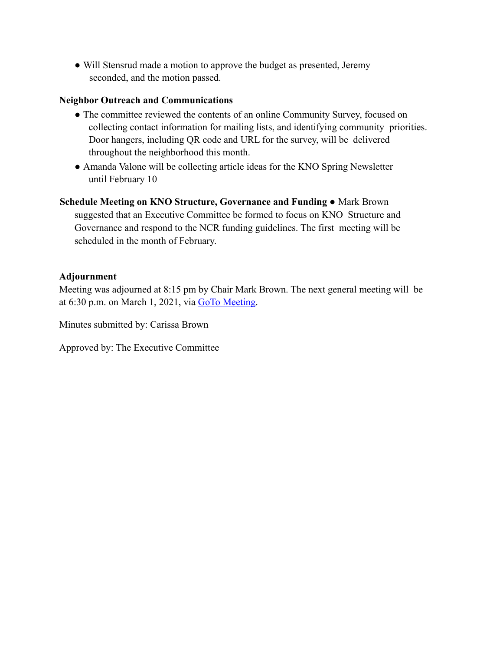• Will Stensrud made a motion to approve the budget as presented, Jeremy seconded, and the motion passed.

#### **Neighbor Outreach and Communications**

- The committee reviewed the contents of an online Community Survey, focused on collecting contact information for mailing lists, and identifying community priorities. Door hangers, including QR code and URL for the survey, will be delivered throughout the neighborhood this month.
- Amanda Valone will be collecting article ideas for the KNO Spring Newsletter until February 10

**Schedule Meeting on KNO Structure, Governance and Funding** ● Mark Brown suggested that an Executive Committee be formed to focus on KNO Structure and Governance and respond to the NCR funding guidelines. The first meeting will be scheduled in the month of February.

#### **Adjournment**

Meeting was adjourned at 8:15 pm by Chair Mark Brown. The next general meeting will be at 6:30 p.m. on March 1, 2021, via GoTo Meeting.

Minutes submitted by: Carissa Brown

Approved by: The Executive Committee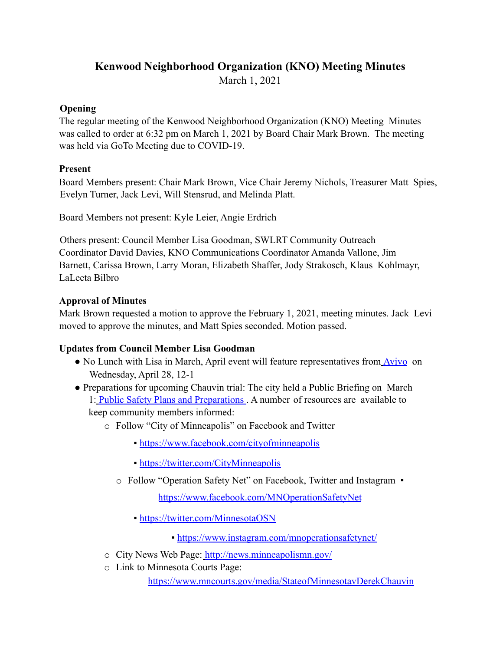## **Kenwood Neighborhood Organization (KNO) Meeting Minutes**

March 1, 2021

## **Opening**

The regular meeting of the Kenwood Neighborhood Organization (KNO) Meeting Minutes was called to order at 6:32 pm on March 1, 2021 by Board Chair Mark Brown. The meeting was held via GoTo Meeting due to COVID-19.

## **Present**

Board Members present: Chair Mark Brown, Vice Chair Jeremy Nichols, Treasurer Matt Spies, Evelyn Turner, Jack Levi, Will Stensrud, and Melinda Platt.

Board Members not present: Kyle Leier, Angie Erdrich

Others present: Council Member Lisa Goodman, SWLRT Community Outreach Coordinator David Davies, KNO Communications Coordinator Amanda Vallone, Jim Barnett, Carissa Brown, Larry Moran, Elizabeth Shaffer, Jody Strakosch, Klaus Kohlmayr, LaLeeta Bilbro

## **Approval of Minutes**

Mark Brown requested a motion to approve the February 1, 2021, meeting minutes. Jack Levi moved to approve the minutes, and Matt Spies seconded. Motion passed.

## **Updates from Council Member Lisa Goodman**

- No Lunch with Lisa in March, April event will feature representatives from Avivo on Wednesday, April 28, 12-1
- Preparations for upcoming Chauvin trial: The city held a Public Briefing on March 1: Public Safety Plans and Preparations . A number of resources are available to keep community members informed:
	- o Follow "City of Minneapolis" on Facebook and Twitter
		- https://www.facebook.com/cityofminneapolis
		- https://twitter.com/CityMinneapolis
		- o Follow "Operation Safety Net" on Facebook, Twitter and Instagram ▪

https://www.facebook.com/MNOperationSafetyNet

- https://twitter.com/MinnesotaOSN
	- https://www.instagram.com/mnoperationsafetynet/
- o City News Web Page: http://news.minneapolismn.gov/
- o Link to Minnesota Courts Page:

https://www.mncourts.gov/media/StateofMinnesotavDerekChauvin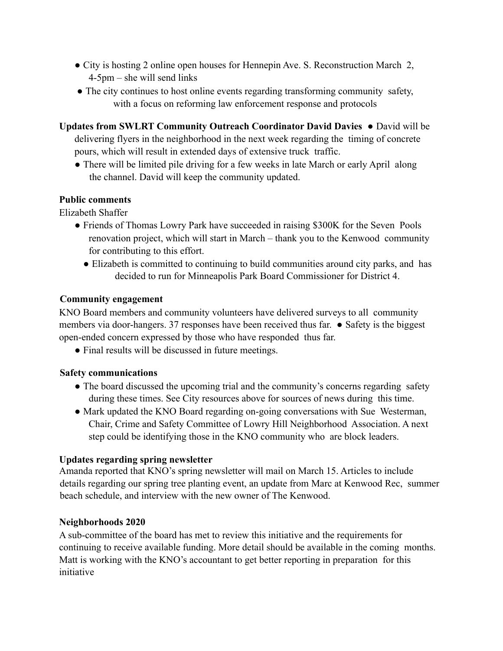- City is hosting 2 online open houses for Hennepin Ave. S. Reconstruction March 2, 4-5pm – she will send links
- The city continues to host online events regarding transforming community safety, with a focus on reforming law enforcement response and protocols

**Updates from SWLRT Community Outreach Coordinator David Davies ●** David will be delivering flyers in the neighborhood in the next week regarding the timing of concrete

pours, which will result in extended days of extensive truck traffic.

**●** There will be limited pile driving for a few weeks in late March or early April along the channel. David will keep the community updated.

## **Public comments**

Elizabeth Shaffer

- Friends of Thomas Lowry Park have succeeded in raising \$300K for the Seven Pools renovation project, which will start in March – thank you to the Kenwood community for contributing to this effort.
	- Elizabeth is committed to continuing to build communities around city parks, and has decided to run for Minneapolis Park Board Commissioner for District 4.

### **Community engagement**

KNO Board members and community volunteers have delivered surveys to all community members via door-hangers. 37 responses have been received thus far. ● Safety is the biggest open-ended concern expressed by those who have responded thus far.

• Final results will be discussed in future meetings.

## **Safety communications**

- The board discussed the upcoming trial and the community's concerns regarding safety during these times. See City resources above for sources of news during this time.
- Mark updated the KNO Board regarding on-going conversations with Sue Westerman, Chair, Crime and Safety Committee of Lowry Hill Neighborhood Association. A next step could be identifying those in the KNO community who are block leaders.

#### **Updates regarding spring newsletter**

Amanda reported that KNO's spring newsletter will mail on March 15. Articles to include details regarding our spring tree planting event, an update from Marc at Kenwood Rec, summer beach schedule, and interview with the new owner of The Kenwood.

#### **Neighborhoods 2020**

A sub-committee of the board has met to review this initiative and the requirements for continuing to receive available funding. More detail should be available in the coming months. Matt is working with the KNO's accountant to get better reporting in preparation for this initiative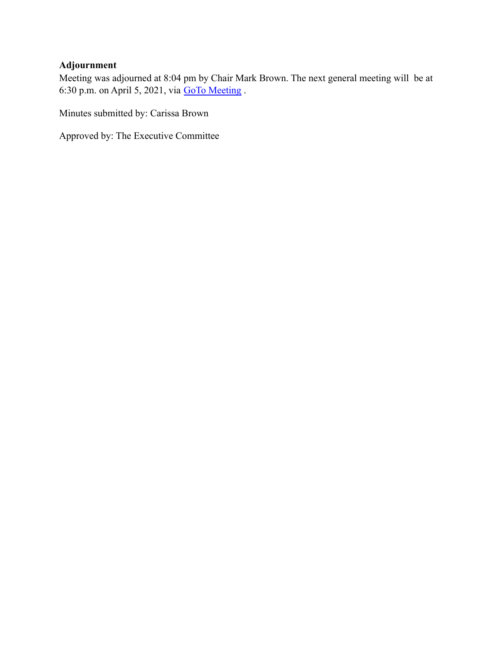# **Adjournment**

Meeting was adjourned at 8:04 pm by Chair Mark Brown. The next general meeting will be at 6:30 p.m. on April 5, 2021, via GoTo Meeting .

Minutes submitted by: Carissa Brown

Approved by: The Executive Committee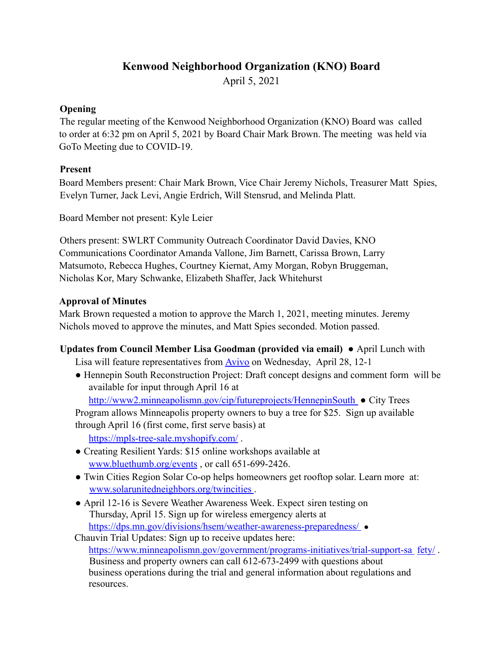# **Kenwood Neighborhood Organization (KNO) Board**

April 5, 2021

## **Opening**

The regular meeting of the Kenwood Neighborhood Organization (KNO) Board was called to order at 6:32 pm on April 5, 2021 by Board Chair Mark Brown. The meeting was held via GoTo Meeting due to COVID-19.

## **Present**

Board Members present: Chair Mark Brown, Vice Chair Jeremy Nichols, Treasurer Matt Spies, Evelyn Turner, Jack Levi, Angie Erdrich, Will Stensrud, and Melinda Platt.

Board Member not present: Kyle Leier

Others present: SWLRT Community Outreach Coordinator David Davies, KNO Communications Coordinator Amanda Vallone, Jim Barnett, Carissa Brown, Larry Matsumoto, Rebecca Hughes, Courtney Kiernat, Amy Morgan, Robyn Bruggeman, Nicholas Kor, Mary Schwanke, Elizabeth Shaffer, Jack Whitehurst

### **Approval of Minutes**

Mark Brown requested a motion to approve the March 1, 2021, meeting minutes. Jeremy Nichols moved to approve the minutes, and Matt Spies seconded. Motion passed.

## **Updates from Council Member Lisa Goodman (provided via email)** ● April Lunch with

Lisa will feature representatives from **Avivo** on Wednesday, April 28, 12-1

● Hennepin South Reconstruction Project: Draft concept designs and comment form will be available for input through April 16 at

http://www2.minneapolismn.gov/cip/futureprojects/HennepinSouth ● City Trees Program allows Minneapolis property owners to buy a tree for \$25. Sign up available through April 16 (first come, first serve basis) at

https://mpls-tree-sale.myshopify.com/ .

- Creating Resilient Yards: \$15 online workshops available at www.bluethumb.org/events , or call 651-699-2426.
- Twin Cities Region Solar Co-op helps homeowners get rooftop solar. Learn more at: www.solarunitedneighbors.org/twincities .
- April 12-16 is Severe Weather Awareness Week. Expect siren testing on Thursday, April 15. Sign up for wireless emergency alerts at https://dps.mn.gov/divisions/hsem/weather-awareness-preparedness/ •

Chauvin Trial Updates: Sign up to receive updates here: https://www.minneapolismn.gov/government/programs-initiatives/trial-support-sa fety/. Business and property owners can call 612-673-2499 with questions about business operations during the trial and general information about regulations and resources.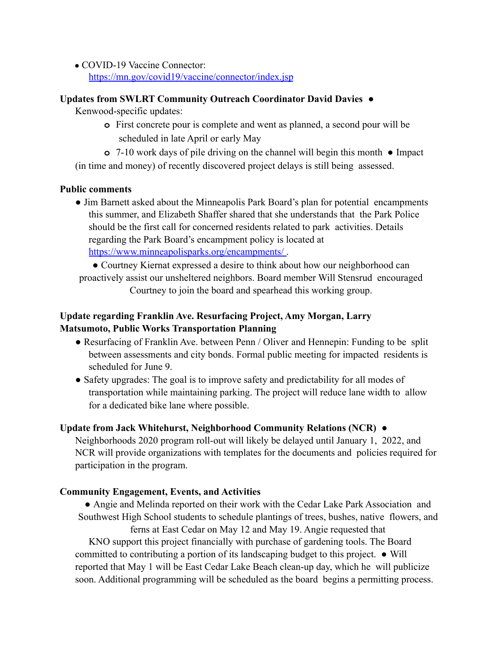• COVID-19 Vaccine Connector: https://mn.gov/covid19/vaccine/connector/index.jsp

#### **Updates from SWLRT Community Outreach Coordinator David Davies ●**

Kenwood-specific updates:

- **o** First concrete pour is complete and went as planned, a second pour will be scheduled in late April or early May
- **o** 7-10 work days of pile driving on the channel will begin this month **●** Impact (in time and money) of recently discovered project delays is still being assessed.

#### **Public comments**

- Jim Barnett asked about the Minneapolis Park Board's plan for potential encampments this summer, and Elizabeth Shaffer shared that she understands that the Park Police should be the first call for concerned residents related to park activities. Details regarding the Park Board's encampment policy is located at https://www.minneapolisparks.org/encampments/
- Courtney Kiernat expressed a desire to think about how our neighborhood can proactively assist our unsheltered neighbors. Board member Will Stensrud encouraged Courtney to join the board and spearhead this working group.

## **Update regarding Franklin Ave. Resurfacing Project, Amy Morgan, Larry Matsumoto, Public Works Transportation Planning**

- Resurfacing of Franklin Ave. between Penn / Oliver and Hennepin: Funding to be split between assessments and city bonds. Formal public meeting for impacted residents is scheduled for June 9.
- Safety upgrades: The goal is to improve safety and predictability for all modes of transportation while maintaining parking. The project will reduce lane width to allow for a dedicated bike lane where possible.

#### **Update from Jack Whitehurst, Neighborhood Community Relations (NCR)** ●

Neighborhoods 2020 program roll-out will likely be delayed until January 1, 2022, and NCR will provide organizations with templates for the documents and policies required for participation in the program.

#### **Community Engagement, Events, and Activities**

● Angie and Melinda reported on their work with the Cedar Lake Park Association and Southwest High School students to schedule plantings of trees, bushes, native flowers, and

ferns at East Cedar on May 12 and May 19. Angie requested that KNO support this project financially with purchase of gardening tools. The Board committed to contributing a portion of its landscaping budget to this project. ● Will reported that May 1 will be East Cedar Lake Beach clean-up day, which he will publicize soon. Additional programming will be scheduled as the board begins a permitting process.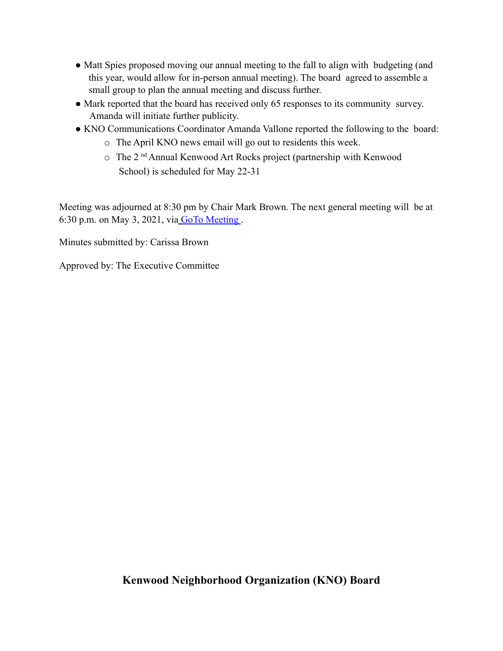- Matt Spies proposed moving our annual meeting to the fall to align with budgeting (and this year, would allow for in-person annual meeting). The board agreed to assemble a small group to plan the annual meeting and discuss further.
- Mark reported that the board has received only 65 responses to its community survey. Amanda will initiate further publicity.
- KNO Communications Coordinator Amanda Vallone reported the following to the board:
	- o The April KNO news email will go out to residents this week.
	- o The 2 nd Annual Kenwood Art Rocks project (partnership with Kenwood School) is scheduled for May 22-31

Meeting was adjourned at 8:30 pm by Chair Mark Brown. The next general meeting will be at 6:30 p.m. on May 3, 2021, via GoTo Meeting .

Minutes submitted by: Carissa Brown

Approved by: The Executive Committee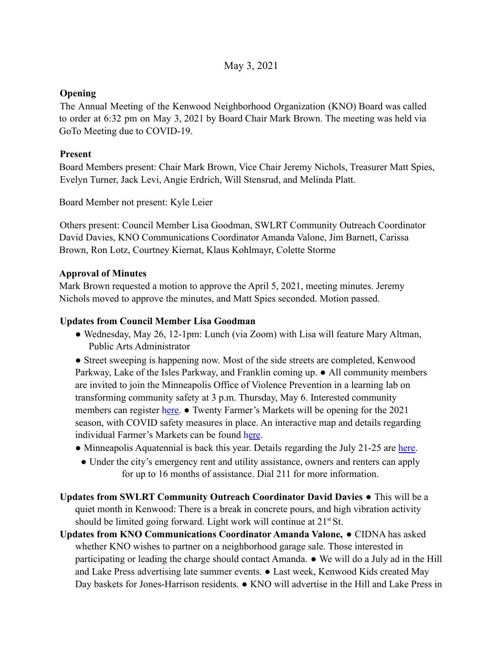## May 3, 2021

### **Opening**

The Annual Meeting of the Kenwood Neighborhood Organization (KNO) Board was called to order at 6:32 pm on May 3, 2021 by Board Chair Mark Brown. The meeting was held via GoTo Meeting due to COVID-19.

### **Present**

Board Members present: Chair Mark Brown, Vice Chair Jeremy Nichols, Treasurer Matt Spies, Evelyn Turner, Jack Levi, Angie Erdrich, Will Stensrud, and Melinda Platt.

Board Member not present: Kyle Leier

Others present: Council Member Lisa Goodman, SWLRT Community Outreach Coordinator David Davies, KNO Communications Coordinator Amanda Valone, Jim Barnett, Carissa Brown, Ron Lotz, Courtney Kiernat, Klaus Kohlmayr, Colette Storme

### **Approval of Minutes**

Mark Brown requested a motion to approve the April 5, 2021, meeting minutes. Jeremy Nichols moved to approve the minutes, and Matt Spies seconded. Motion passed.

### **Updates from Council Member Lisa Goodman**

● Wednesday, May 26, 12-1pm: Lunch (via Zoom) with Lisa will feature Mary Altman, Public Arts Administrator

● Street sweeping is happening now. Most of the side streets are completed, Kenwood Parkway, Lake of the Isles Parkway, and Franklin coming up. ● All community members are invited to join the Minneapolis Office of Violence Prevention in a learning lab on transforming community safety at 3 p.m. Thursday, May 6. Interested community members can register here.  $\bullet$  Twenty Farmer's Markets will be opening for the 2021 season, with COVID safety measures in place. An interactive map and details regarding individual Farmer's Markets can be found here.

- Minneapolis Aquatennial is back this year. Details regarding the July 21-25 are here.
	- Under the city's emergency rent and utility assistance, owners and renters can apply for up to 16 months of assistance. Dial 211 for more information.
- **Updates from SWLRT Community Outreach Coordinator David Davies ●** This will be a quiet month in Kenwood: There is a break in concrete pours, and high vibration activity should be limited going forward. Light work will continue at  $21<sup>st</sup>$  St.

**Updates from KNO Communications Coordinator Amanda Valone,** ● CIDNA has asked whether KNO wishes to partner on a neighborhood garage sale. Those interested in participating or leading the charge should contact Amanda. ● We will do a July ad in the Hill and Lake Press advertising late summer events. ● Last week, Kenwood Kids created May Day baskets for Jones-Harrison residents. ● KNO will advertise in the Hill and Lake Press in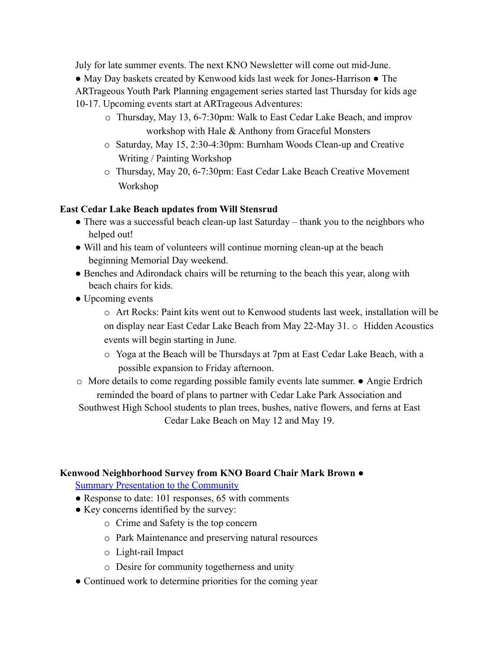July for late summer events. The next KNO Newsletter will come out mid-June.

● May Day baskets created by Kenwood kids last week for Jones-Harrison ● The ARTrageous Youth Park Planning engagement series started last Thursday for kids age 10-17. Upcoming events start at ARTrageous Adventures:

- o Thursday, May 13, 6-7:30pm: Walk to East Cedar Lake Beach, and improv workshop with Hale & Anthony from Graceful Monsters
- o Saturday, May 15, 2:30-4:30pm: Burnham Woods Clean-up and Creative Writing / Painting Workshop
- o Thursday, May 20, 6-7:30pm: East Cedar Lake Beach Creative Movement Workshop

## **East Cedar Lake Beach updates from Will Stensrud**

- $\bullet$  There was a successful beach clean-up last Saturday thank you to the neighbors who helped out!
- Will and his team of volunteers will continue morning clean-up at the beach beginning Memorial Day weekend.
- Benches and Adirondack chairs will be returning to the beach this year, along with beach chairs for kids.
- Upcoming events

o Art Rocks: Paint kits went out to Kenwood students last week, installation will be on display near East Cedar Lake Beach from May 22-May 31. o Hidden Acoustics events will begin starting in June.

- o Yoga at the Beach will be Thursdays at 7pm at East Cedar Lake Beach, with a possible expansion to Friday afternoon.
- o More details to come regarding possible family events late summer. Angie Erdrich reminded the board of plans to partner with Cedar Lake Park Association and Southwest High School students to plan trees, bushes, native flowers, and ferns at East Cedar Lake Beach on May 12 and May 19.

## **Kenwood Neighborhood Survey from KNO Board Chair Mark Brown** ●

Summary Presentation to the Community

- Response to date: 101 responses, 65 with comments
- Key concerns identified by the survey:
	- o Crime and Safety is the top concern
	- o Park Maintenance and preserving natural resources
	- o Light-rail Impact
	- o Desire for community togetherness and unity
- Continued work to determine priorities for the coming year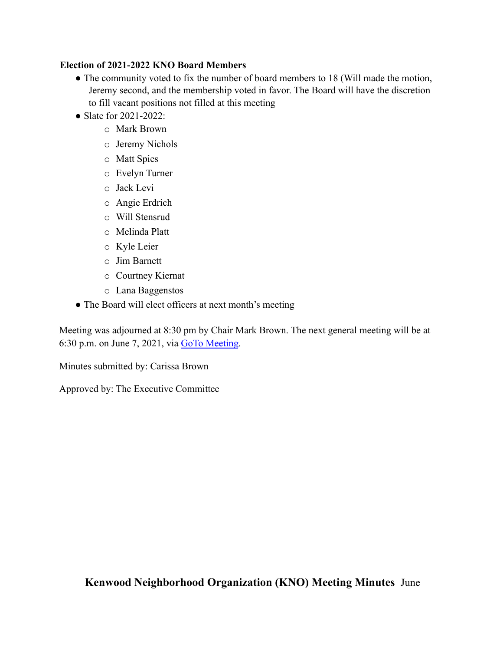### **Election of 2021-2022 KNO Board Members**

- The community voted to fix the number of board members to 18 (Will made the motion, Jeremy second, and the membership voted in favor. The Board will have the discretion to fill vacant positions not filled at this meeting
- Slate for 2021-2022:
	- o Mark Brown
	- o Jeremy Nichols
	- o Matt Spies
	- o Evelyn Turner
	- o Jack Levi
	- o Angie Erdrich
	- o Will Stensrud
	- o Melinda Platt
	- o Kyle Leier
	- o Jim Barnett
	- o Courtney Kiernat
	- o Lana Baggenstos
- The Board will elect officers at next month's meeting

Meeting was adjourned at 8:30 pm by Chair Mark Brown. The next general meeting will be at 6:30 p.m. on June 7, 2021, via GoTo Meeting.

Minutes submitted by: Carissa Brown

Approved by: The Executive Committee

**Kenwood Neighborhood Organization (KNO) Meeting Minutes** June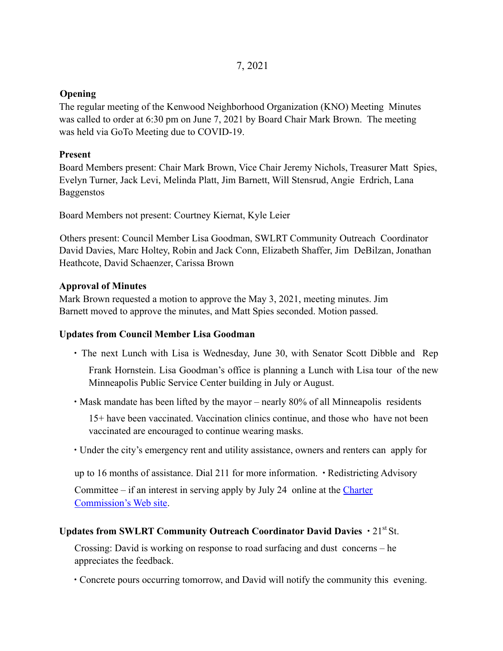### **Opening**

The regular meeting of the Kenwood Neighborhood Organization (KNO) Meeting Minutes was called to order at 6:30 pm on June 7, 2021 by Board Chair Mark Brown. The meeting was held via GoTo Meeting due to COVID-19.

### **Present**

Board Members present: Chair Mark Brown, Vice Chair Jeremy Nichols, Treasurer Matt Spies, Evelyn Turner, Jack Levi, Melinda Platt, Jim Barnett, Will Stensrud, Angie Erdrich, Lana Baggenstos

Board Members not present: Courtney Kiernat, Kyle Leier

Others present: Council Member Lisa Goodman, SWLRT Community Outreach Coordinator David Davies, Marc Holtey, Robin and Jack Conn, Elizabeth Shaffer, Jim DeBilzan, Jonathan Heathcote, David Schaenzer, Carissa Brown

#### **Approval of Minutes**

Mark Brown requested a motion to approve the May 3, 2021, meeting minutes. Jim Barnett moved to approve the minutes, and Matt Spies seconded. Motion passed.

#### **Updates from Council Member Lisa Goodman**

∙ The next Lunch with Lisa is Wednesday, June 30, with Senator Scott Dibble and Rep

Frank Hornstein. Lisa Goodman's office is planning a Lunch with Lisa tour of the new Minneapolis Public Service Center building in July or August.

∙ Mask mandate has been lifted by the mayor – nearly 80% of all Minneapolis residents

15+ have been vaccinated. Vaccination clinics continue, and those who have not been vaccinated are encouraged to continue wearing masks.

∙ Under the city's emergency rent and utility assistance, owners and renters can apply for

up to 16 months of assistance. Dial 211 for more information. ∙ Redistricting Advisory

Committee – if an interest in serving apply by July 24 online at the Charter Commission's Web site.

#### Updates from SWLRT Community Outreach Coordinator David Davies • 21<sup>st</sup> St.

Crossing: David is working on response to road surfacing and dust concerns – he appreciates the feedback.

∙ Concrete pours occurring tomorrow, and David will notify the community this evening.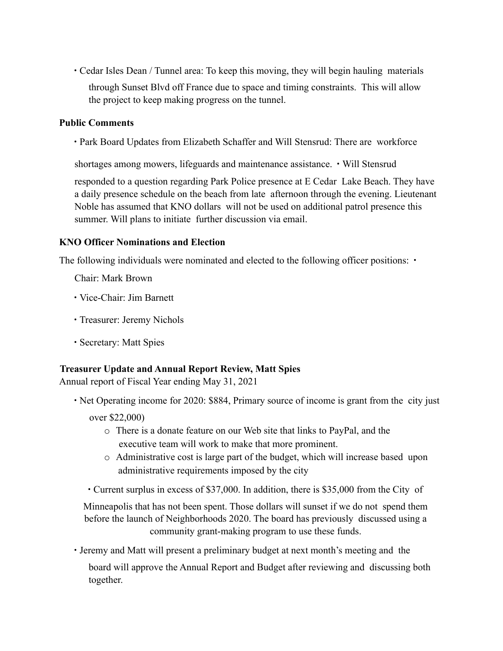∙ Cedar Isles Dean / Tunnel area: To keep this moving, they will begin hauling materials through Sunset Blvd off France due to space and timing constraints. This will allow the project to keep making progress on the tunnel.

#### **Public Comments**

∙ Park Board Updates from Elizabeth Schaffer and Will Stensrud: There are workforce

shortages among mowers, lifeguards and maintenance assistance. ∙ Will Stensrud

responded to a question regarding Park Police presence at E Cedar Lake Beach. They have a daily presence schedule on the beach from late afternoon through the evening. Lieutenant Noble has assumed that KNO dollars will not be used on additional patrol presence this summer. Will plans to initiate further discussion via email.

#### **KNO Officer Nominations and Election**

The following individuals were nominated and elected to the following officer positions: •

Chair: Mark Brown

- ∙ Vice-Chair: Jim Barnett
- ∙ Treasurer: Jeremy Nichols
- ∙ Secretary: Matt Spies

#### **Treasurer Update and Annual Report Review, Matt Spies**

Annual report of Fiscal Year ending May 31, 2021

- ∙ Net Operating income for 2020: \$884, Primary source of income is grant from the city just over \$22,000)
	- o There is a donate feature on our Web site that links to PayPal, and the executive team will work to make that more prominent.
	- o Administrative cost is large part of the budget, which will increase based upon administrative requirements imposed by the city
	- ∙ Current surplus in excess of \$37,000. In addition, there is \$35,000 from the City of

Minneapolis that has not been spent. Those dollars will sunset if we do not spend them before the launch of Neighborhoods 2020. The board has previously discussed using a community grant-making program to use these funds.

∙ Jeremy and Matt will present a preliminary budget at next month's meeting and the board will approve the Annual Report and Budget after reviewing and discussing both together.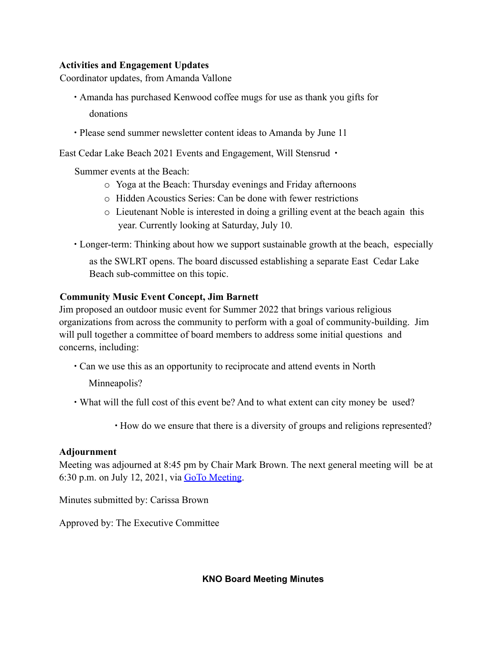#### **Activities and Engagement Updates**

Coordinator updates, from Amanda Vallone

- ∙ Amanda has purchased Kenwood coffee mugs for use as thank you gifts for donations
- ∙ Please send summer newsletter content ideas to Amanda by June 11

East Cedar Lake Beach 2021 Events and Engagement, Will Stensrud ∙

Summer events at the Beach:

- o Yoga at the Beach: Thursday evenings and Friday afternoons
- o Hidden Acoustics Series: Can be done with fewer restrictions
- o Lieutenant Noble is interested in doing a grilling event at the beach again this year. Currently looking at Saturday, July 10.

∙ Longer-term: Thinking about how we support sustainable growth at the beach, especially

as the SWLRT opens. The board discussed establishing a separate East Cedar Lake Beach sub-committee on this topic.

### **Community Music Event Concept, Jim Barnett**

Jim proposed an outdoor music event for Summer 2022 that brings various religious organizations from across the community to perform with a goal of community-building. Jim will pull together a committee of board members to address some initial questions and concerns, including:

∙ Can we use this as an opportunity to reciprocate and attend events in North

Minneapolis?

∙ What will the full cost of this event be? And to what extent can city money be used?

∙ How do we ensure that there is a diversity of groups and religions represented?

#### **Adjournment**

Meeting was adjourned at 8:45 pm by Chair Mark Brown. The next general meeting will be at 6:30 p.m. on July 12, 2021, via  $GoTo Meeting$ .

Minutes submitted by: Carissa Brown

Approved by: The Executive Committee

**KNO Board Meeting Minutes**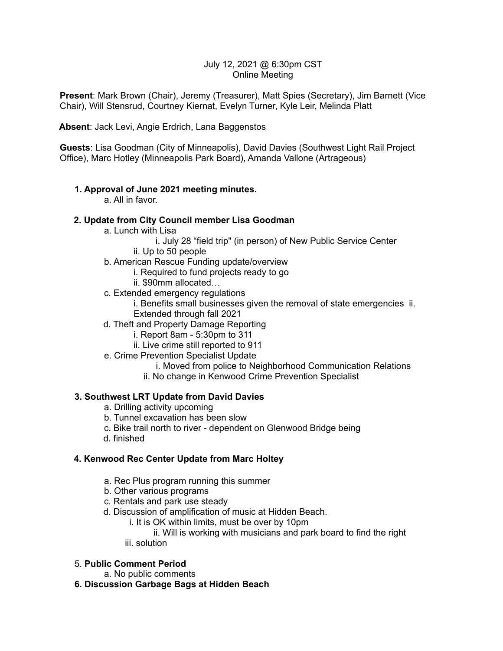#### July 12, 2021 @ 6:30pm CST Online Meeting

**Present**: Mark Brown (Chair), Jeremy (Treasurer), Matt Spies (Secretary), Jim Barnett (Vice Chair), Will Stensrud, Courtney Kiernat, Evelyn Turner, Kyle Leir, Melinda Platt

**Absent**: Jack Levi, Angie Erdrich, Lana Baggenstos

**Guests**: Lisa Goodman (City of Minneapolis), David Davies (Southwest Light Rail Project Office), Marc Hotley (Minneapolis Park Board), Amanda Vallone (Artrageous)

#### **1. Approval of June 2021 meeting minutes.**

a. All in favor.

#### **2. Update from City Council member Lisa Goodman**

- a. Lunch with Lisa
	- i. July 28 "field trip" (in person) of New Public Service Center
	- ii. Up to 50 people
- b. American Rescue Funding update/overview
	- i. Required to fund projects ready to go
	- ii. \$90mm allocated…
- c. Extended emergency regulations
	- i. Benefits small businesses given the removal of state emergencies ii. Extended through fall 2021
- d. Theft and Property Damage Reporting
	- i. Report 8am 5:30pm to 311
	- ii. Live crime still reported to 911
- e. Crime Prevention Specialist Update
	- i. Moved from police to Neighborhood Communication Relations
	- ii. No change in Kenwood Crime Prevention Specialist

#### **3. Southwest LRT Update from David Davies**

- a. Drilling activity upcoming
- b. Tunnel excavation has been slow
- c. Bike trail north to river dependent on Glenwood Bridge being
- d. finished

#### **4. Kenwood Rec Center Update from Marc Holtey**

- a. Rec Plus program running this summer
- b. Other various programs
- c. Rentals and park use steady
- d. Discussion of amplification of music at Hidden Beach.
	- i. It is OK within limits, must be over by 10pm

ii. Will is working with musicians and park board to find the right iii. solution

#### 5. **Public Comment Period**

- a. No public comments
- **6. Discussion Garbage Bags at Hidden Beach**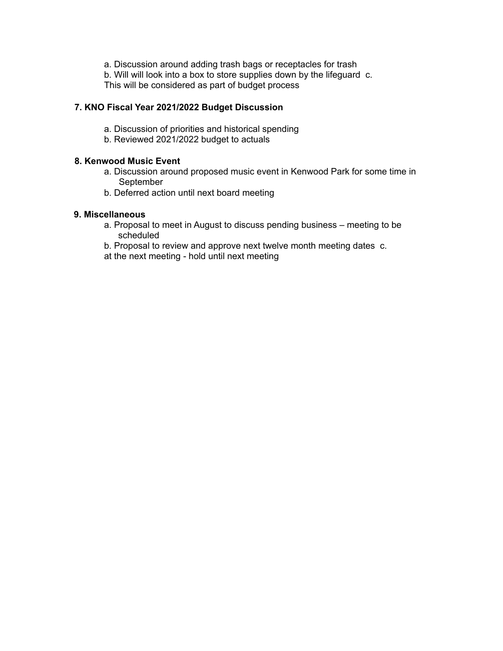a. Discussion around adding trash bags or receptacles for trash b. Will will look into a box to store supplies down by the lifeguard c. This will be considered as part of budget process

#### **7. KNO Fiscal Year 2021/2022 Budget Discussion**

- a. Discussion of priorities and historical spending
- b. Reviewed 2021/2022 budget to actuals

#### **8. Kenwood Music Event**

- a. Discussion around proposed music event in Kenwood Park for some time in September
- b. Deferred action until next board meeting

#### **9. Miscellaneous**

- a. Proposal to meet in August to discuss pending business meeting to be scheduled
- b. Proposal to review and approve next twelve month meeting dates c.

at the next meeting - hold until next meeting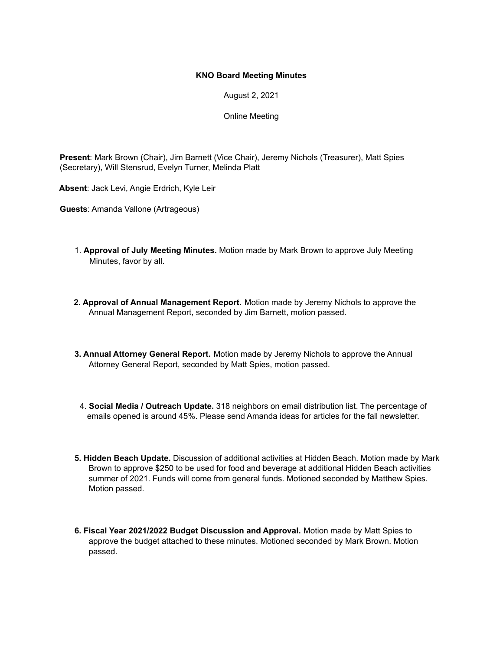August 2, 2021

Online Meeting

**Present**: Mark Brown (Chair), Jim Barnett (Vice Chair), Jeremy Nichols (Treasurer), Matt Spies (Secretary), Will Stensrud, Evelyn Turner, Melinda Platt

**Absent**: Jack Levi, Angie Erdrich, Kyle Leir

**Guests**: Amanda Vallone (Artrageous)

- 1. **Approval of July Meeting Minutes.** Motion made by Mark Brown to approve July Meeting Minutes, favor by all.
- **2. Approval of Annual Management Report.** Motion made by Jeremy Nichols to approve the Annual Management Report, seconded by Jim Barnett, motion passed.
- **3. Annual Attorney General Report.** Motion made by Jeremy Nichols to approve the Annual Attorney General Report, seconded by Matt Spies, motion passed.
- 4. **Social Media / Outreach Update.** 318 neighbors on email distribution list. The percentage of emails opened is around 45%. Please send Amanda ideas for articles for the fall newsletter.
- **5. Hidden Beach Update.** Discussion of additional activities at Hidden Beach. Motion made by Mark Brown to approve \$250 to be used for food and beverage at additional Hidden Beach activities summer of 2021. Funds will come from general funds. Motioned seconded by Matthew Spies. Motion passed.
- **6. Fiscal Year 2021/2022 Budget Discussion and Approval.** Motion made by Matt Spies to approve the budget attached to these minutes. Motioned seconded by Mark Brown. Motion passed.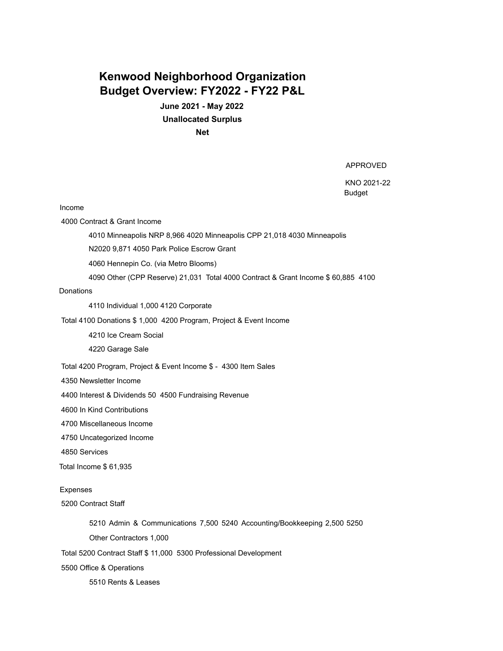# **Kenwood Neighborhood Organization Budget Overview: FY2022 - FY22 P&L**

**June 2021 - May 2022 Unallocated Surplus Net**

APPROVED

KNO 2021-22 Budget

Income

4000 Contract & Grant Income

4010 Minneapolis NRP 8,966 4020 Minneapolis CPP 21,018 4030 Minneapolis

N2020 9,871 4050 Park Police Escrow Grant

4060 Hennepin Co. (via Metro Blooms)

4090 Other (CPP Reserve) 21,031 Total 4000 Contract & Grant Income \$ 60,885 4100

**Donations** 

4110 Individual 1,000 4120 Corporate

Total 4100 Donations \$ 1,000 4200 Program, Project & Event Income

4210 Ice Cream Social

4220 Garage Sale

Total 4200 Program, Project & Event Income \$ - 4300 Item Sales

4350 Newsletter Income

4400 Interest & Dividends 50 4500 Fundraising Revenue

4600 In Kind Contributions

4700 Miscellaneous Income

4750 Uncategorized Income

4850 Services

Total Income \$ 61,935

Expenses

5200 Contract Staff

5210 Admin & Communications 7,500 5240 Accounting/Bookkeeping 2,500 5250

Other Contractors 1,000

Total 5200 Contract Staff \$ 11,000 5300 Professional Development

5500 Office & Operations

5510 Rents & Leases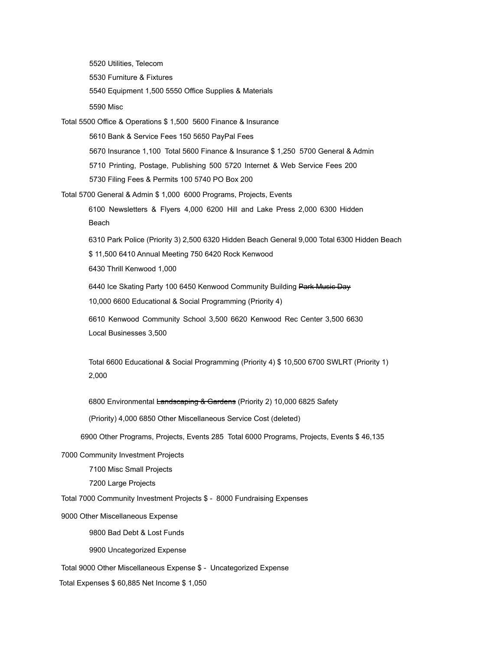5520 Utilities, Telecom 5530 Furniture & Fixtures 5540 Equipment 1,500 5550 Office Supplies & Materials 5590 Misc Total 5500 Office & Operations \$ 1,500 5600 Finance & Insurance 5610 Bank & Service Fees 150 5650 PayPal Fees 5670 Insurance 1,100 Total 5600 Finance & Insurance \$ 1,250 5700 General & Admin 5710 Printing, Postage, Publishing 500 5720 Internet & Web Service Fees 200 5730 Filing Fees & Permits 100 5740 PO Box 200 Total 5700 General & Admin \$ 1,000 6000 Programs, Projects, Events 6100 Newsletters & Flyers 4,000 6200 Hill and Lake Press 2,000 6300 Hidden Beach 6310 Park Police (Priority 3) 2,500 6320 Hidden Beach General 9,000 Total 6300 Hidden Beach \$ 11,500 6410 Annual Meeting 750 6420 Rock Kenwood 6430 Thrill Kenwood 1,000 6440 Ice Skating Party 100 6450 Kenwood Community Building Park Music Day 10,000 6600 Educational & Social Programming (Priority 4) 6610 Kenwood Community School 3,500 6620 Kenwood Rec Center 3,500 6630 Local Businesses 3,500 Total 6600 Educational & Social Programming (Priority 4) \$ 10,500 6700 SWLRT (Priority 1) 2,000 6800 Environmental Landscaping & Gardens (Priority 2) 10,000 6825 Safety (Priority) 4,000 6850 Other Miscellaneous Service Cost (deleted) 6900 Other Programs, Projects, Events 285 Total 6000 Programs, Projects, Events \$ 46,135 7000 Community Investment Projects 7100 Misc Small Projects 7200 Large Projects Total 7000 Community Investment Projects \$ - 8000 Fundraising Expenses 9000 Other Miscellaneous Expense 9800 Bad Debt & Lost Funds 9900 Uncategorized Expense

Total 9000 Other Miscellaneous Expense \$ - Uncategorized Expense

Total Expenses \$ 60,885 Net Income \$ 1,050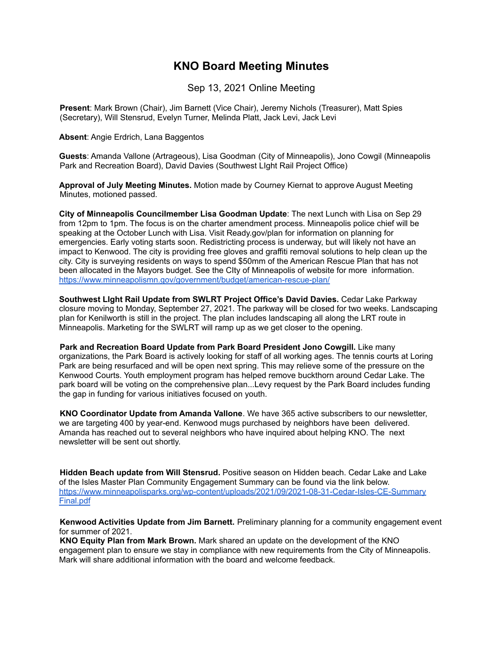Sep 13, 2021 Online Meeting

**Present**: Mark Brown (Chair), Jim Barnett (Vice Chair), Jeremy Nichols (Treasurer), Matt Spies (Secretary), Will Stensrud, Evelyn Turner, Melinda Platt, Jack Levi, Jack Levi

**Absent: Angie Erdrich, Lana Baggentos** 

**Guests**: Amanda Vallone (Artrageous), Lisa Goodman (City of Minneapolis), Jono Cowgil (Minneapolis Park and Recreation Board), David Davies (Southwest LIght Rail Project Office)

**Approval of July Meeting Minutes.** Motion made by Courney Kiernat to approve August Meeting Minutes, motioned passed.

**City of Minneapolis Councilmember Lisa Goodman Update**: The next Lunch with Lisa on Sep 29 from 12pm to 1pm. The focus is on the charter amendment process. Minneapolis police chief will be speaking at the October Lunch with Lisa. Visit Ready.gov/plan for information on planning for emergencies. Early voting starts soon. Redistricting process is underway, but will likely not have an impact to Kenwood. The city is providing free gloves and graffiti removal solutions to help clean up the city. City is surveying residents on ways to spend \$50mm of the American Rescue Plan that has not been allocated in the Mayors budget. See the CIty of Minneapolis of website for more information. https://www.minneapolismn.gov/government/budget/american-rescue-plan/

**Southwest LIght Rail Update from SWLRT Project Office's David Davies.** Cedar Lake Parkway closure moving to Monday, September 27, 2021. The parkway will be closed for two weeks. Landscaping plan for Kenilworth is still in the project. The plan includes landscaping all along the LRT route in Minneapolis. Marketing for the SWLRT will ramp up as we get closer to the opening.

**Park and Recreation Board Update from Park Board President Jono Cowgill.** Like many organizations, the Park Board is actively looking for staff of all working ages. The tennis courts at Loring Park are being resurfaced and will be open next spring. This may relieve some of the pressure on the Kenwood Courts. Youth employment program has helped remove buckthorn around Cedar Lake. The park board will be voting on the comprehensive plan...Levy request by the Park Board includes funding the gap in funding for various initiatives focused on youth.

**KNO Coordinator Update from Amanda Vallone**. We have 365 active subscribers to our newsletter, we are targeting 400 by year-end. Kenwood mugs purchased by neighbors have been delivered. Amanda has reached out to several neighbors who have inquired about helping KNO. The next newsletter will be sent out shortly.

**Hidden Beach update from Will Stensrud.** Positive season on Hidden beach. Cedar Lake and Lake of the Isles Master Plan Community Engagement Summary can be found via the link below. https://www.minneapolisparks.org/wp-content/uploads/2021/09/2021-08-31-Cedar-Isles-CE-Summary Final.pdf

**Kenwood Activities Update from Jim Barnett.** Preliminary planning for a community engagement event for summer of 2021.

**KNO Equity Plan from Mark Brown.** Mark shared an update on the development of the KNO engagement plan to ensure we stay in compliance with new requirements from the City of Minneapolis. Mark will share additional information with the board and welcome feedback.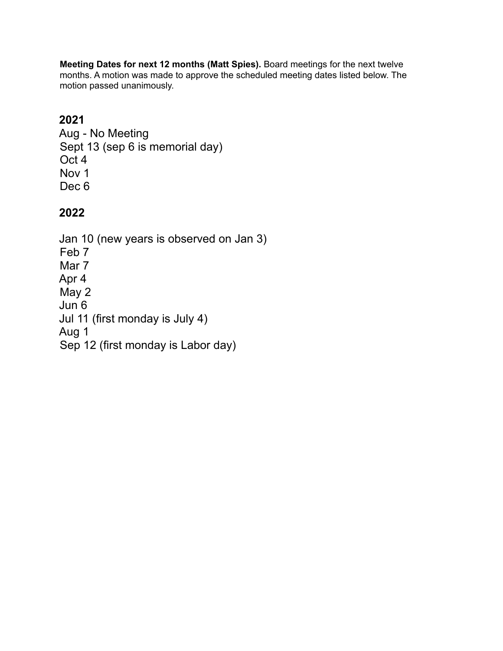**Meeting Dates for next 12 months (Matt Spies).** Board meetings for the next twelve months. A motion was made to approve the scheduled meeting dates listed below. The motion passed unanimously.

# **2021**

Aug - No Meeting Sept 13 (sep 6 is memorial day) Oct 4 Nov 1 Dec<sub>6</sub>

# **2022**

Jan 10 (new years is observed on Jan 3) Feb 7 Mar 7 Apr 4 May 2 Jun 6 Jul 11 (first monday is July 4) Aug 1 Sep 12 (first monday is Labor day)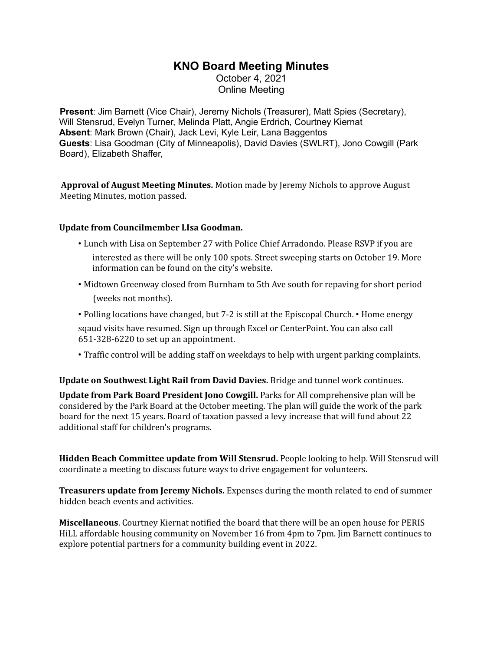October 4, 2021 Online Meeting

**Present**: Jim Barnett (Vice Chair), Jeremy Nichols (Treasurer), Matt Spies (Secretary), Will Stensrud, Evelyn Turner, Melinda Platt, Angie Erdrich, Courtney Kiernat **Absent**: Mark Brown (Chair), Jack Levi, Kyle Leir, Lana Baggentos **Guests**: Lisa Goodman (City of Minneapolis), David Davies (SWLRT), Jono Cowgill (Park Board), Elizabeth Shaffer,

**Approval of August Meeting Minutes.** Motion made by Jeremy Nichols to approve August Meeting Minutes, motion passed.

#### **Update from Councilmember LIsa Goodman.**

- Lunch with Lisa on September 27 with Police Chief Arradondo. Please RSVP if you are
	- interested as there will be only 100 spots. Street sweeping starts on October 19. More information can be found on the city's website.
- Midtown Greenway closed from Burnham to 5th Ave south for repaving for short period (weeks not months).
- Polling locations have changed, but 7-2 is still at the Episcopal Church. Home energy sqaud visits have resumed. Sign up through Excel or CenterPoint. You can also call 651-328-6220 to set up an appointment.
- Traffic control will be adding staff on weekdays to help with urgent parking complaints.

**Update on Southwest Light Rail from David Davies.** Bridge and tunnel work continues.

**Update from Park Board President Jono Cowgill.** Parks for All comprehensive plan will be considered by the Park Board at the October meeting. The plan will guide the work of the park board for the next 15 years. Board of taxation passed a levy increase that will fund about 22 additional staff for children's programs.

**Hidden Beach Committee update from Will Stensrud.** People looking to help. Will Stensrud will coordinate a meeting to discuss future ways to drive engagement for volunteers.

**Treasurers update from Jeremy Nichols.** Expenses during the month related to end of summer hidden beach events and activities.

**Miscellaneous**. Courtney Kiernat notified the board that there will be an open house for PERIS HiLL affordable housing community on November 16 from 4pm to 7pm. Jim Barnett continues to explore potential partners for a community building event in 2022.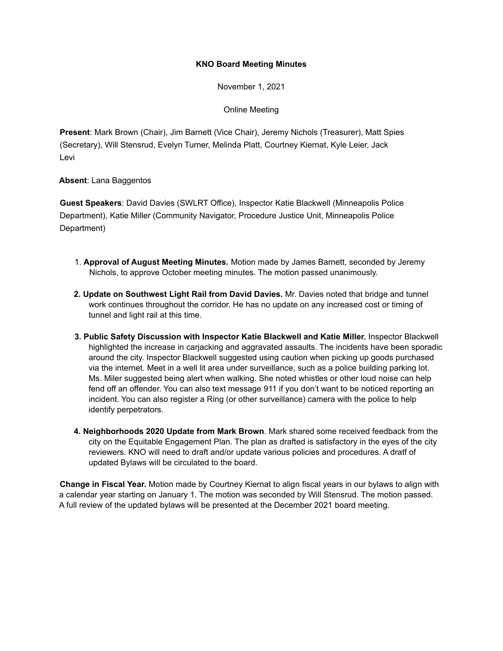November 1, 2021

Online Meeting

**Present**: Mark Brown (Chair), Jim Barnett (Vice Chair), Jeremy Nichols (Treasurer), Matt Spies (Secretary), Will Stensrud, Evelyn Turner, Melinda Platt, Courtney Kiernat, Kyle Leier, Jack Levi

#### **Absent**: Lana Baggentos

**Guest Speakers**: David Davies (SWLRT Office), Inspector Katie Blackwell (Minneapolis Police Department), Katie Miller (Community Navigator, Procedure Justice Unit, Minneapolis Police Department)

- 1. **Approval of August Meeting Minutes.** Motion made by James Barnett, seconded by Jeremy Nichols, to approve October meeting minutes. The motion passed unanimously.
- **2. Update on Southwest Light Rail from David Davies.** Mr. Davies noted that bridge and tunnel work continues throughout the corridor. He has no update on any increased cost or timing of tunnel and light rail at this time.
- **3. Public Safety Discussion with Inspector Katie Blackwell and Katie Miller.** Inspector Blackwell highlighted the increase in carjacking and aggravated assaults. The incidents have been sporadic around the city. Inspector Blackwell suggested using caution when picking up goods purchased via the internet. Meet in a well lit area under surveillance, such as a police building parking lot. Ms. Miler suggested being alert when walking. She noted whistles or other loud noise can help fend off an offender. You can also text message 911 if you don't want to be noticed reporting an incident. You can also register a Ring (or other surveillance) camera with the police to help identify perpetrators.
- **4. Neighborhoods 2020 Update from Mark Brown**. Mark shared some received feedback from the city on the Equitable Engagement Plan. The plan as drafted is satisfactory in the eyes of the city reviewers. KNO will need to draft and/or update various policies and procedures. A dratf of updated Bylaws will be circulated to the board.

**Change in Fiscal Year.** Motion made by Courtney Kiernat to align fiscal years in our bylaws to align with a calendar year starting on January 1. The motion was seconded by Will Stensrud. The motion passed. A full review of the updated bylaws will be presented at the December 2021 board meeting.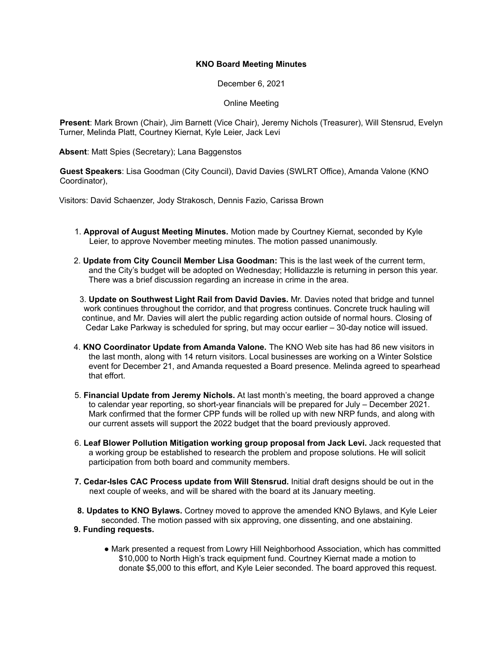December 6, 2021

Online Meeting

**Present**: Mark Brown (Chair), Jim Barnett (Vice Chair), Jeremy Nichols (Treasurer), Will Stensrud, Evelyn Turner, Melinda Platt, Courtney Kiernat, Kyle Leier, Jack Levi

**Absent**: Matt Spies (Secretary); Lana Baggenstos

**Guest Speakers**: Lisa Goodman (City Council), David Davies (SWLRT Office), Amanda Valone (KNO Coordinator),

Visitors: David Schaenzer, Jody Strakosch, Dennis Fazio, Carissa Brown

- 1. **Approval of August Meeting Minutes.** Motion made by Courtney Kiernat, seconded by Kyle Leier, to approve November meeting minutes. The motion passed unanimously.
- 2. **Update from City Council Member Lisa Goodman:** This is the last week of the current term, and the City's budget will be adopted on Wednesday; Hollidazzle is returning in person this year. There was a brief discussion regarding an increase in crime in the area.
- 3. **Update on Southwest Light Rail from David Davies.** Mr. Davies noted that bridge and tunnel work continues throughout the corridor, and that progress continues. Concrete truck hauling will continue, and Mr. Davies will alert the public regarding action outside of normal hours. Closing of Cedar Lake Parkway is scheduled for spring, but may occur earlier – 30-day notice will issued.
- 4. **KNO Coordinator Update from Amanda Valone.** The KNO Web site has had 86 new visitors in the last month, along with 14 return visitors. Local businesses are working on a Winter Solstice event for December 21, and Amanda requested a Board presence. Melinda agreed to spearhead that effort.
- 5. **Financial Update from Jeremy Nichols.** At last month's meeting, the board approved a change to calendar year reporting, so short-year financials will be prepared for July – December 2021. Mark confirmed that the former CPP funds will be rolled up with new NRP funds, and along with our current assets will support the 2022 budget that the board previously approved.
- 6. **Leaf Blower Pollution Mitigation working group proposal from Jack Levi.** Jack requested that a working group be established to research the problem and propose solutions. He will solicit participation from both board and community members.
- **7. Cedar-Isles CAC Process update from Will Stensrud.** Initial draft designs should be out in the next couple of weeks, and will be shared with the board at its January meeting.
- **8. Updates to KNO Bylaws.** Cortney moved to approve the amended KNO Bylaws, and Kyle Leier seconded. The motion passed with six approving, one dissenting, and one abstaining.

#### **9. Funding requests.**

**●** Mark presented a request from Lowry Hill Neighborhood Association, which has committed \$10,000 to North High's track equipment fund. Courtney Kiernat made a motion to donate \$5,000 to this effort, and Kyle Leier seconded. The board approved this request.